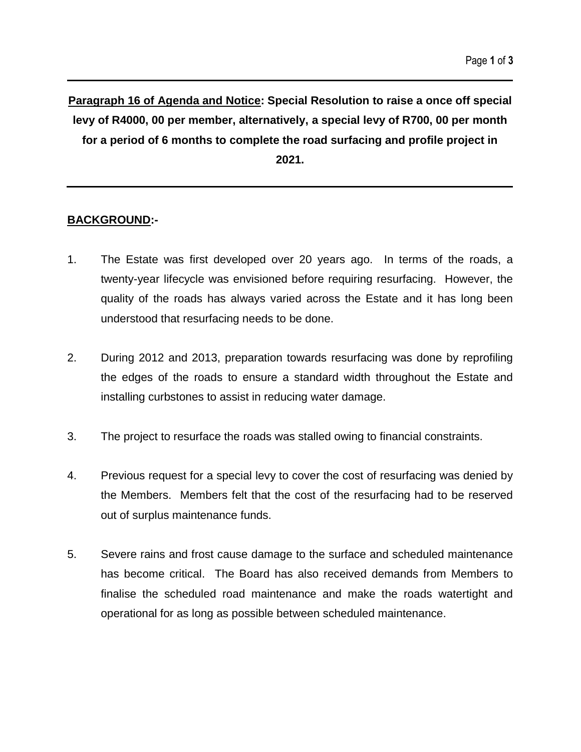**Paragraph 16 of Agenda and Notice: Special Resolution to raise a once off special levy of R4000, 00 per member, alternatively, a special levy of R700, 00 per month for a period of 6 months to complete the road surfacing and profile project in 2021.**

### **BACKGROUND:-**

- 1. The Estate was first developed over 20 years ago. In terms of the roads, a twenty-year lifecycle was envisioned before requiring resurfacing. However, the quality of the roads has always varied across the Estate and it has long been understood that resurfacing needs to be done.
- 2. During 2012 and 2013, preparation towards resurfacing was done by reprofiling the edges of the roads to ensure a standard width throughout the Estate and installing curbstones to assist in reducing water damage.
- 3. The project to resurface the roads was stalled owing to financial constraints.
- 4. Previous request for a special levy to cover the cost of resurfacing was denied by the Members. Members felt that the cost of the resurfacing had to be reserved out of surplus maintenance funds.
- 5. Severe rains and frost cause damage to the surface and scheduled maintenance has become critical. The Board has also received demands from Members to finalise the scheduled road maintenance and make the roads watertight and operational for as long as possible between scheduled maintenance.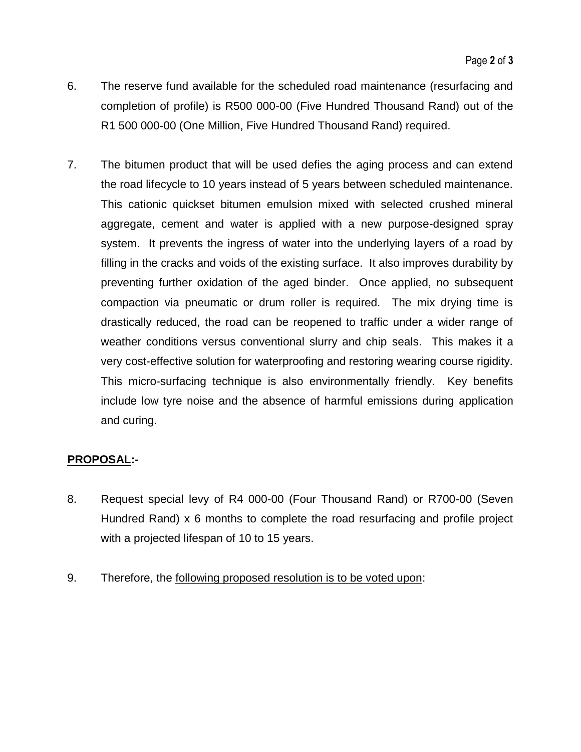- 6. The reserve fund available for the scheduled road maintenance (resurfacing and completion of profile) is R500 000-00 (Five Hundred Thousand Rand) out of the R1 500 000-00 (One Million, Five Hundred Thousand Rand) required.
- 7. The bitumen product that will be used defies the aging process and can extend the road lifecycle to 10 years instead of 5 years between scheduled maintenance. This cationic quickset bitumen emulsion mixed with selected crushed mineral aggregate, cement and water is applied with a new purpose-designed spray system. It prevents the ingress of water into the underlying layers of a road by filling in the cracks and voids of the existing surface. It also improves durability by preventing further oxidation of the aged binder. Once applied, no subsequent compaction via pneumatic or drum roller is required. The mix drying time is drastically reduced, the road can be reopened to traffic under a wider range of weather conditions versus conventional slurry and chip seals. This makes it a very cost-effective solution for waterproofing and restoring wearing course rigidity. This micro-surfacing technique is also environmentally friendly. Key benefits include low tyre noise and the absence of harmful emissions during application and curing.

## **PROPOSAL:-**

- 8. Request special levy of R4 000-00 (Four Thousand Rand) or R700-00 (Seven Hundred Rand) x 6 months to complete the road resurfacing and profile project with a projected lifespan of 10 to 15 years.
- 9. Therefore, the following proposed resolution is to be voted upon: